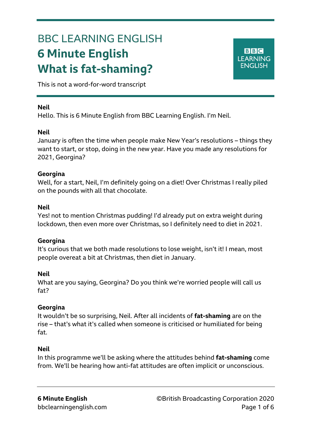# BBC LEARNING ENGLISH **6 Minute English What is fat-shaming?**

**BBC LEARNING ENGLISH** 

This is not a word-for-word transcript

#### **Neil**

Ξ

Hello. This is 6 Minute English from BBC Learning English. I'm Neil.

#### **Neil**

January is often the time when people make New Year's resolutions – things they want to start, or stop, doing in the new year. Have you made any resolutions for 2021, Georgina?

#### **Georgina**

Well, for a start, Neil, I'm definitely going on a diet! Over Christmas I really piled on the pounds with all that chocolate.

#### **Neil**

Yes! not to mention Christmas pudding! I'd already put on extra weight during lockdown, then even more over Christmas, so I definitely need to diet in 2021.

#### **Georgina**

It's curious that we both made resolutions to lose weight, isn't it! I mean, most people overeat a bit at Christmas, then diet in January.

# **Neil**

What are you saying, Georgina? Do you think we're worried people will call us fat?

# **Georgina**

It wouldn't be so surprising, Neil. After all incidents of **fat-shaming** are on the rise – that's what it's called when someone is criticised or humiliated for being fat.

#### **Neil**

In this programme we'll be asking where the attitudes behind **fat-shaming** come from. We'll be hearing how anti-fat attitudes are often implicit or unconscious.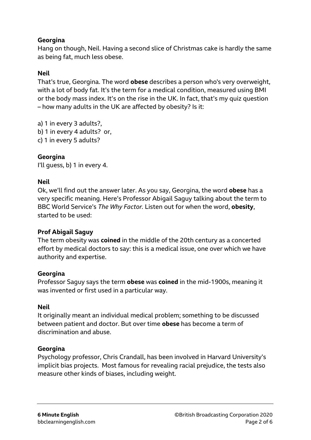# **Georgina**

Hang on though, Neil. Having a second slice of Christmas cake is hardly the same as being fat, much less obese.

# **Neil**

That's true, Georgina. The word **obese** describes a person who's very overweight, with a lot of body fat. It's the term for a medical condition, measured using BMI or the body mass index. It's on the rise in the UK. In fact, that's my quiz question – how many adults in the UK are affected by obesity? Is it:

a) 1 in every 3 adults?, b) 1 in every 4 adults? or, c) 1 in every 5 adults?

# **Georgina**

I'll guess, b) 1 in every 4.

# **Neil**

Ok, we'll find out the answer later. As you say, Georgina, the word **obese** has a very specific meaning. Here's Professor Abigail Saguy talking about the term to BBC World Service's *The Why Factor.* Listen out for when the word, **obesity**, started to be used:

# **Prof Abigail Saguy**

The term obesity was **coined** in the middle of the 20th century as a concerted effort by medical doctors to say: this is a medical issue, one over which we have authority and expertise.

# **Georgina**

Professor Saguy says the term **obese** was **coined** in the mid-1900s, meaning it was invented or first used in a particular way.

# **Neil**

It originally meant an individual medical problem; something to be discussed between patient and doctor. But over time **obese** has become a term of discrimination and abuse.

# **Georgina**

Psychology professor, Chris Crandall, has been involved in Harvard University's implicit bias projects. Most famous for revealing racial prejudice, the tests also measure other kinds of biases, including weight.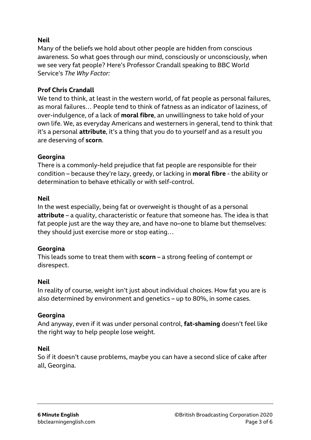# **Neil**

Many of the beliefs we hold about other people are hidden from conscious awareness. So what goes through our mind, consciously or unconsciously, when we see very fat people? Here's Professor Crandall speaking to BBC World Service's *The Why Factor:*

# **Prof Chris Crandall**

We tend to think, at least in the western world, of fat people as personal failures, as moral failures… People tend to think of fatness as an indicator of laziness, of over-indulgence, of a lack of **moral fibre**, an unwillingness to take hold of your own life. We, as everyday Americans and westerners in general, tend to think that it's a personal **attribute**, it's a thing that you do to yourself and as a result you are deserving of **scorn**.

#### **Georgina**

There is a commonly-held prejudice that fat people are responsible for their condition – because they're lazy, greedy, or lacking in **moral fibre** - the ability or determination to behave ethically or with self-control.

#### **Neil**

In the west especially, being fat or overweight is thought of as a personal **attribute** – a quality, characteristic or feature that someone has. The idea is that fat people just are the way they are, and have no–one to blame but themselves: they should just exercise more or stop eating…

# **Georgina**

This leads some to treat them with **scorn** – a strong feeling of contempt or disrespect.

# **Neil**

In reality of course, weight isn't just about individual choices. How fat you are is also determined by environment and genetics – up to 80%, in some cases.

# **Georgina**

And anyway, even if it was under personal control, **fat-shaming** doesn't feel like the right way to help people lose weight.

#### **Neil**

So if it doesn't cause problems, maybe you can have a second slice of cake after all, Georgina.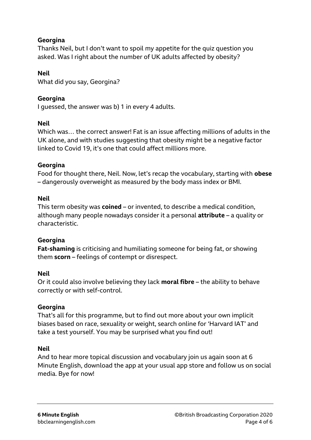# **Georgina**

Thanks Neil, but I don't want to spoil my appetite for the quiz question you asked. Was I right about the number of UK adults affected by obesity?

# **Neil**

What did you say, Georgina?

# **Georgina**

I guessed, the answer was b) 1 in every 4 adults.

# **Neil**

Which was… the correct answer! Fat is an issue affecting millions of adults in the UK alone, and with studies suggesting that obesity might be a negative factor linked to Covid 19, it's one that could affect millions more.

# **Georgina**

Food for thought there, Neil. Now, let's recap the vocabulary, starting with **obese** – dangerously overweight as measured by the body mass index or BMI.

# **Neil**

This term obesity was **coined** – or invented, to describe a medical condition, although many people nowadays consider it a personal **attribute** – a quality or characteristic.

# **Georgina**

**Fat-shaming** is criticising and humiliating someone for being fat, or showing them **scorn** – feelings of contempt or disrespect.

# **Neil**

Or it could also involve believing they lack **moral fibre** – the ability to behave correctly or with self-control.

# **Georgina**

That's all for this programme, but to find out more about your own implicit biases based on race, sexuality or weight, search online for 'Harvard IAT' and take a test yourself. You may be surprised what you find out!

# **Neil**

And to hear more topical discussion and vocabulary join us again soon at 6 Minute English, download the app at your usual app store and follow us on social media. Bye for now!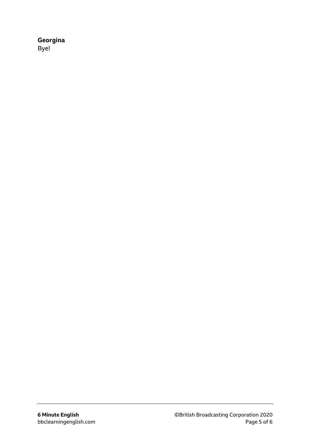# **Georgina**

Bye!